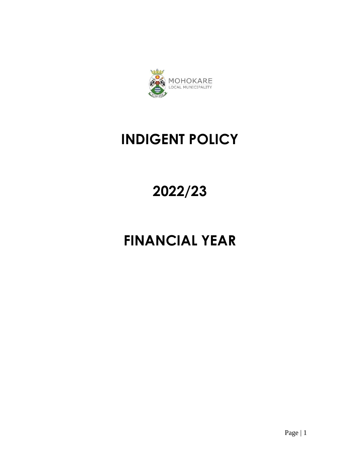

# **INDIGENT POLICY**

# **2022/23**

# **FINANCIAL YEAR**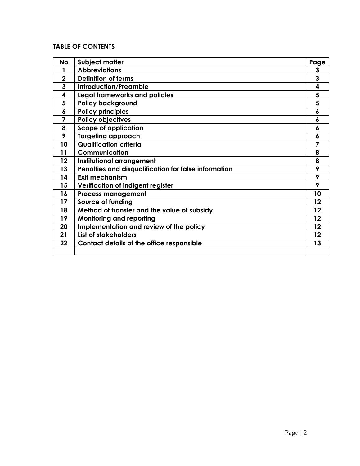# **TABLE OF CONTENTS**

| <b>No</b>      | Subject matter                                       | Page |
|----------------|------------------------------------------------------|------|
|                | <b>Abbreviations</b>                                 | 3    |
| $\mathbf 2$    | <b>Definition of terms</b>                           | 3    |
| 3              | <b>Introduction/Preamble</b>                         | 4    |
| 4              | <b>Legal frameworks and policies</b>                 | 5    |
| 5              | <b>Policy background</b>                             | 5    |
| 6              | <b>Policy principles</b>                             | 6    |
| $\overline{7}$ | <b>Policy objectives</b>                             | 6    |
| 8              | <b>Scope of application</b>                          | 6    |
| 9              | <b>Targeting approach</b>                            | 6    |
| 10             | <b>Qualification criteria</b>                        | 7    |
| 11             | Communication                                        | 8    |
| 12             | Institutional arrangement                            | 8    |
| 13             | Penalties and disqualification for false information | 9    |
| 14             | <b>Exit mechanism</b>                                | 9    |
| 15             | Verification of indigent register                    | 9    |
| 16             | <b>Process management</b>                            | 10   |
| 17             | Source of funding                                    | 12   |
| 18             | Method of transfer and the value of subsidy          | 12   |
| 19             | <b>Monitoring and reporting</b>                      | 12   |
| 20             | Implementation and review of the policy              | 12   |
| 21             | List of stakeholders                                 | 12   |
| 22             | Contact details of the office responsible            | 13   |
|                |                                                      |      |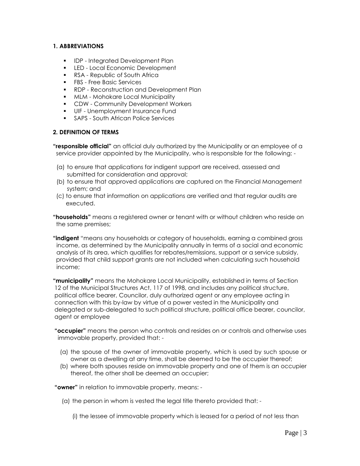#### **1. ABBREVIATIONS**

- **IDP** Integrated Development Plan
- **LED Local Economic Development**
- RSA Republic of South Africa
- **FBS** Free Basic Services
- **RDP** Reconstruction and Development Plan
- **MLM Mohokare Local Municipality**
- **CDW Community Development Workers**
- UIF Unemployment Insurance Fund
- SAPS South African Police Services

#### **2. DEFINITION OF TERMS**

**"responsible official"** an official duly authorized by the Municipality or an employee of a service provider appointed by the Municipality, who is responsible for the following: -

- (a) to ensure that applications for indigent support are received, assessed and submitted for consideration and approval;
- (b) to ensure that approved applications are captured on the Financial Management system; and
- (c) to ensure that information on applications are verified and that regular audits are executed.

**"households"** means a registered owner or tenant with or without children who reside on the same premises;

**"indigent** "means any households or category of households, earning a combined gross income, as determined by the Municipality annually in terms of a social and economic analysis of its area, which qualifies for rebates/remissions, support or a service subsidy, provided that child support grants are not included when calculating such household income;

**"municipality"** means the Mohokare Local Municipality, established in terms of Section 12 of the Municipal Structures Act, 117 of 1998, and includes any political structure, political office bearer, Councilor, duly authorized agent or any employee acting in connection with this by-law by virtue of a power vested in the Municipality and delegated or sub-delegated to such political structure, political office bearer, councilor, agent or employee

**"occupier"** means the person who controls and resides on or controls and otherwise uses immovable property, provided that: -

- (a) the spouse of the owner of immovable property, which is used by such spouse or owner as a dwelling at any time, shall be deemed to be the occupier thereof;
- (b) where both spouses reside on immovable property and one of them is an occupier thereof, the other shall be deemed an occupier;

**"owner"** in relation to immovable property, means: -

- (a) the person in whom is vested the legal title thereto provided that:
	- (i) the lessee of immovable property which is leased for a period of not less than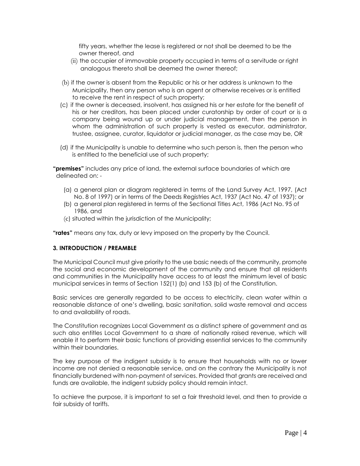fifty years, whether the lease is registered or not shall be deemed to be the owner thereof, and

- (ii) the occupier of immovable property occupied in terms of a servitude or right analogous thereto shall be deemed the owner thereof;
- (b) if the owner is absent from the Republic or his or her address is unknown to the Municipality, then any person who is an agent or otherwise receives or is entitled to receive the rent in respect of such property;
- (c) if the owner is deceased, insolvent, has assigned his or her estate for the benefit of his or her creditors, has been placed under curatorship by order of court or is a company being wound up or under judicial management, then the person in whom the administration of such property is vested as executor, administrator, trustee, assignee, curator, liquidator or judicial manager, as the case may be, OR
- (d) if the Municipality is unable to determine who such person is, then the person who is entitled to the beneficial use of such property;

**"premises"** includes any price of land, the external surface boundaries of which are delineated on: -

- (a) a general plan or diagram registered in terms of the Land Survey Act, 1997, (Act No. 8 of 1997) or in terms of the Deeds Registries Act, 1937 (Act No. 47 of 1937); or
- (b) a general plan registered in terms of the Sectional Titles Act, 1986 (Act No. 95 of 1986, and
- (c) situated within the jurisdiction of the Municipality;

**"rates"** means any tax, duty or levy imposed on the property by the Council.

#### **3. INTRODUCTION / PREAMBLE**

The Municipal Council must give priority to the use basic needs of the community, promote the social and economic development of the community and ensure that all residents and communities in the Municipality have access to at least the minimum level of basic municipal services in terms of Section 152(1) (b) and 153 (b) of the Constitution.

Basic services are generally regarded to be access to electricity, clean water within a reasonable distance of one's dwelling, basic sanitation, solid waste removal and access to and availability of roads.

The Constitution recognizes Local Government as a distinct sphere of government and as such also entitles Local Government to a share of nationally raised revenue, which will enable it to perform their basic functions of providing essential services to the community within their boundaries.

The key purpose of the indigent subsidy is to ensure that households with no or lower income are not denied a reasonable service, and on the contrary the Municipality is not financially burdened with non-payment of services. Provided that grants are received and funds are available, the indigent subsidy policy should remain intact.

To achieve the purpose, it is important to set a fair threshold level, and then to provide a fair subsidy of tariffs.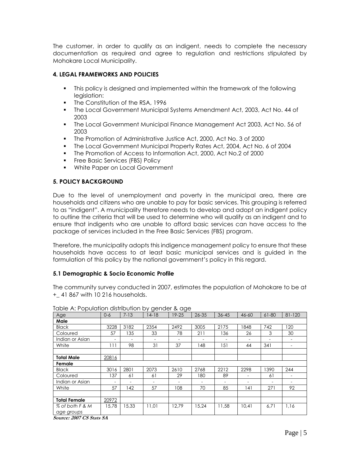The customer, in order to qualify as an indigent, needs to complete the necessary documentation as required and agree to regulation and restrictions stipulated by Mohokare Local Municipality.

# **4. LEGAL FRAMEWORKS AND POLICIES**

- This policy is designed and implemented within the framework of the following legislation:
- **The Constitution of the RSA, 1996**
- The Local Government Municipal Systems Amendment Act, 2003, Act No. 44 of 2003
- The Local Government Municipal Finance Management Act 2003, Act No. 56 of 2003
- The Promotion of Administrative Justice Act, 2000, Act No. 3 of 2000
- The Local Government Municipal Property Rates Act, 2004, Act No. 6 of 2004
- The Promotion of Access to Information Act, 2000, Act No.2 of 2000
- **Free Basic Services (FBS) Policy**
- **White Paper on Local Government**

# **5. POLICY BACKGROUND**

Due to the level of unemployment and poverty in the municipal area, there are households and citizens who are unable to pay for basic services. This grouping is referred to as "indigent". A municipality therefore needs to develop and adopt an indigent policy to outline the criteria that will be used to determine who will qualify as an indigent and to ensure that indigents who are unable to afford basic services can have access to the package of services included in the Free Basic Services (FBS) program.

Therefore, the municipality adopts this indigence management policy to ensure that these households have access to at least basic municipal services and is guided in the formulation of this policy by the national government's policy in this regard.

#### **5.1 Demographic & Socio Economic Profile**

The community survey conducted in 2007, estimates the population of Mohokare to be at +\_ 41 867 with 10 216 households.

| iddio : " i operation dismioenon o j gonder a age |                          |          |         |           |           |           |       |           |                          |
|---------------------------------------------------|--------------------------|----------|---------|-----------|-----------|-----------|-------|-----------|--------------------------|
| Age                                               | $0 - 6$                  | $7 - 13$ | $14-18$ | $19 - 25$ | $26 - 35$ | $36 - 45$ | 46-60 | $61 - 80$ | $81 - 120$               |
| Male                                              |                          |          |         |           |           |           |       |           |                          |
| <b>Black</b>                                      | 3228                     | 3182     | 2354    | 2492      | 3005      | 2175      | 1848  | 742       | 120                      |
| Coloured                                          | 57                       | 135      | 33      | 78        | 211       | 136       | 26    | 3         | 30                       |
| Indian or Asian                                   | $\overline{\phantom{0}}$ |          |         |           | -         |           |       |           | $\overline{\phantom{a}}$ |
| White                                             | 111                      | 98       | 31      | 37        | 148       | 151       | 44    | 341       | $\overline{\phantom{0}}$ |
|                                                   |                          |          |         |           |           |           |       |           |                          |
| <b>Total Male</b>                                 | 20816                    |          |         |           |           |           |       |           |                          |
| Female                                            |                          |          |         |           |           |           |       |           |                          |
| <b>Black</b>                                      | 3016                     | 2801     | 2073    | 2610      | 2768      | 2212      | 2298  | 1390      | 244                      |
| Coloured                                          | 137                      | 61       | 61      | 29        | 180       | 89        |       | 61        | $\overline{\phantom{a}}$ |
| Indian or Asian                                   | $\overline{\phantom{0}}$ |          |         |           |           |           |       |           |                          |
| White                                             | 57                       | 142      | 57      | 108       | 70        | 85        | 141   | 271       | 92                       |
|                                                   |                          |          |         |           |           |           |       |           |                          |
| <b>Total Female</b>                               | 20972                    |          |         |           |           |           |       |           |                          |
| % of both F & M                                   | 15,78                    | 15,33    | 11,01   | 12,79     | 15,24     | 11,58     | 10,41 | 6,71      | 1,16                     |
| age groups                                        |                          |          |         |           |           |           |       |           |                          |

Table A: Population distribution by gender & age

**Source: 2007 CS Stats SA**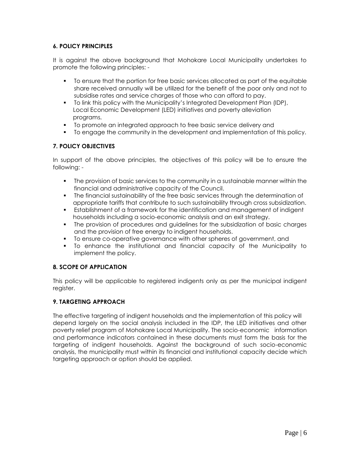# **6. POLICY PRINCIPLES**

It is against the above background that Mohokare Local Municipality undertakes to promote the following principles: -

- To ensure that the portion for free basic services allocated as part of the equitable share received annually will be utilized for the benefit of the poor only and not to subsidise rates and service charges of those who can afford to pay.
- To link this policy with the Municipality's Integrated Development Plan (IDP), Local Economic Development (LED) initiatives and poverty alleviation programs.
- To promote an integrated approach to free basic service delivery and
- To engage the community in the development and implementation of this policy.

# **7. POLICY OBJECTIVES**

In support of the above principles, the objectives of this policy will be to ensure the following: -

- The provision of basic services to the community in a sustainable manner within the financial and administrative capacity of the Council.
- The financial sustainability of the free basic services through the determination of appropriate tariffs that contribute to such sustainability through cross subsidization.
- Establishment of a framework for the identification and management of indigent households including a socio-economic analysis and an exit strategy.
- The provision of procedures and guidelines for the subsidization of basic charges and the provision of free energy to indigent households.
- To ensure co-operative governance with other spheres of government, and
- To enhance the institutional and financial capacity of the Municipality to implement the policy.

#### **8. SCOPE OF APPLICATION**

This policy will be applicable to registered indigents only as per the municipal indigent register.

#### **9. TARGETING APPROACH**

The effective targeting of indigent households and the implementation of this policy will depend largely on the social analysis included in the IDP, the LED initiatives and other poverty relief program of Mohokare Local Municipality. The socio-economic information and performance indicators contained in these documents must form the basis for the targeting of indigent households. Against the background of such socio-economic analysis, the municipality must within its financial and institutional capacity decide which targeting approach or option should be applied.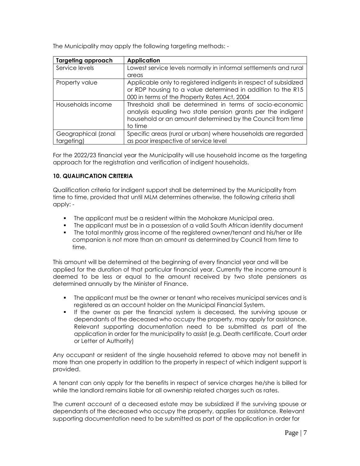The Municipality may apply the following targeting methods: -

| <b>Targeting approach</b> | <b>Application</b>                                                                                                                                                                               |
|---------------------------|--------------------------------------------------------------------------------------------------------------------------------------------------------------------------------------------------|
| Service levels            | Lowest service levels normally in informal settlements and rural                                                                                                                                 |
|                           | areas                                                                                                                                                                                            |
| Property value            | Applicable only to registered indigents in respect of subsidized                                                                                                                                 |
|                           | or RDP housing to a value determined in addition to the R15                                                                                                                                      |
|                           | 000 in terms of the Property Rates Act, 2004                                                                                                                                                     |
| Households income         | Threshold shall be determined in terms of socio-economic<br>analysis equaling two state pension grants per the indigent<br>household or an amount determined by the Council from time<br>to time |
| Geographical (zonal       | Specific areas (rural or urban) where households are regarded                                                                                                                                    |
| targeting)                | as poor irrespective of service level                                                                                                                                                            |

For the 2022/23 financial year the Municipality will use household income as the targeting approach for the registration and verification of indigent households.

# **10. QUALIFICATION CRITERIA**

Qualification criteria for indigent support shall be determined by the Municipality from time to time, provided that until MLM determines otherwise, the following criteria shall apply: -

- The applicant must be a resident within the Mohokare Municipal area.
- The applicant must be in a possession of a valid South African identity document
- The total monthly gross income of the registered owner/tenant and his/her or life companion is not more than an amount as determined by Council from time to time.

This amount will be determined at the beginning of every financial year and will be applied for the duration of that particular financial year. Currently the income amount is deemed to be less or equal to the amount received by two state pensioners as determined annually by the Minister of Finance.

- The applicant must be the owner or tenant who receives municipal services and is registered as an account holder on the Municipal Financial System.
- If the owner as per the financial system is deceased, the surviving spouse or dependants of the deceased who occupy the property, may apply for assistance. Relevant supporting documentation need to be submitted as part of the application in order for the municipality to assist (e.g. Death certificate, Court order or Letter of Authority)

Any occupant or resident of the single household referred to above may not benefit in more than one property in addition to the property in respect of which indigent support is provided.

A tenant can only apply for the benefits in respect of service charges he/she is billed for while the landlord remains liable for all ownership related charges such as rates.

The current account of a deceased estate may be subsidized if the surviving spouse or dependants of the deceased who occupy the property, applies for assistance. Relevant supporting documentation need to be submitted as part of the application in order for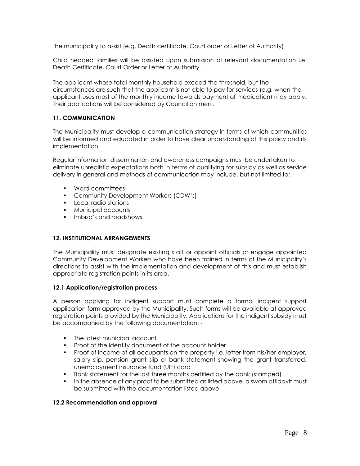the municipality to assist (e.g. Death certificate, Court order or Letter of Authority)

Child headed families will be assisted upon submission of relevant documentation i.e. Death Certificate, Court Order or Letter of Authority.

The applicant whose total monthly household exceed the threshold, but the circumstances are such that the applicant is not able to pay for services (e.g. when the applicant uses most of the monthly income towards payment of medication) may apply. Their applications will be considered by Council on merit.

# **11. COMMUNICATION**

The Municipality must develop a communication strategy in terms of which communities will be informed and educated in order to have clear understanding of this policy and its implementation.

Regular information dissemination and awareness campaigns must be undertaken to eliminate unrealistic expectations both in terms of qualifying for subsidy as well as service delivery in general and methods of communication may include, but not limited to: -

- Ward committees
- **Community Development Workers (CDW's)**
- **Local radio stations**
- **Municipal accounts**
- **Imbizo's and roadshows**

#### **12. INSTITUTIONAL ARRANGEMENTS**

The Municipality must designate existing staff or appoint officials or engage appointed Community Development Workers who have been trained in terms of the Municipality's directions to assist with the implementation and development of this and must establish appropriate registration points in its area.

#### **12.1 Application/registration process**

A person applying for indigent support must complete a formal indigent support application form approved by the Municipality. Such forms will be available at approved registration points provided by the Municipality. Applications for the indigent subsidy must be accompanied by the following documentation: -

- The latest municipal account
- **Proof of the identity document of the account holder**
- Proof of income of all occupants on the property i.e. letter from his/her employer, salary slip, pension grant slip or bank statement showing the grant transferred, unemployment insurance fund (UIF) card
- Bank statement for the last three months certified by the bank (stamped)
- In the absence of any proof to be submitted as listed above, a sworn affidavit must be submitted with the documentation listed above

#### **12.2 Recommendation and approval**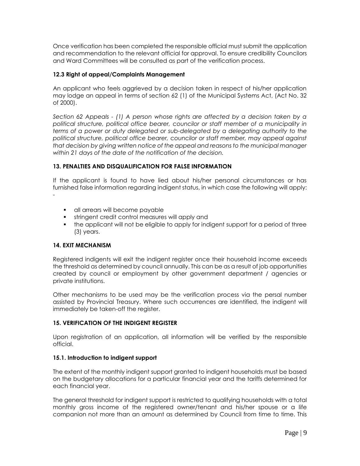Once verification has been completed the responsible official must submit the application and recommendation to the relevant official for approval. To ensure credibility Councilors and Ward Committees will be consulted as part of the verification process.

#### **12.3 Right of appeal/Complaints Management**

An applicant who feels aggrieved by a decision taken in respect of his/her application may lodge an appeal in terms of section 62 (1) of the Municipal Systems Act, (Act No. 32 of 2000).

*Section 62 Appeals - (1) A person whose rights are affected by a decision taken by a political structure, political office bearer, councilor or staff member of a municipality in terms of a power or duty delegated or sub-delegated by a delegating authority to the political structure, political office bearer, councilor or staff member, may appeal against that decision by giving written notice of the appeal and reasons to the municipal manager within 21 days of the date of the notification of the decision.* 

# **13. PENALTIES AND DISQUALIFICATION FOR FALSE INFORMATION**

If the applicant is found to have lied about his/her personal circumstances or has furnished false information regarding indigent status, in which case the following will apply: -

- **a** all arrears will become payable
- **stringent credit control measures will apply and**
- the applicant will not be eligible to apply for indigent support for a period of three (3) years.

#### **14. EXIT MECHANISM**

Registered indigents will exit the indigent register once their household income exceeds the threshold as determined by council annually. This can be as a result of job opportunities created by council or employment by other government department / agencies or private institutions.

Other mechanisms to be used may be the verification process via the persal number assisted by Provincial Treasury. Where such occurrences are identified, the indigent will immediately be taken-off the register.

#### **15. VERIFICATION OF THE INDIGENT REGISTER**

Upon registration of an application, all information will be verified by the responsible official.

#### **15.1. Introduction to indigent support**

The extent of the monthly indigent support granted to indigent households must be based on the budgetary allocations for a particular financial year and the tariffs determined for each financial year.

The general threshold for indigent support is restricted to qualifying households with a total monthly gross income of the registered owner/tenant and his/her spouse or a life companion not more than an amount as determined by Council from time to time. This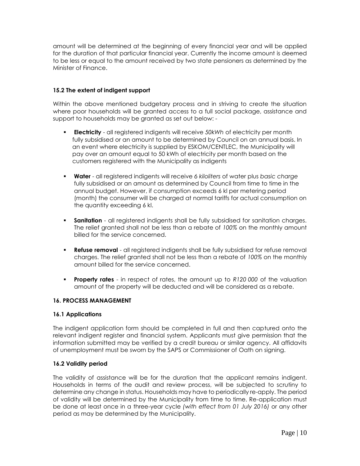amount will be determined at the beginning of every financial year and will be applied for the duration of that particular financial year. Currently the income amount is deemed to be less or equal to the amount received by two state pensioners as determined by the Minister of Finance.

# **15.2 The extent of indigent support**

Within the above mentioned budgetary process and in striving to create the situation where poor households will be granted access to a full social package, assistance and support to households may be granted as set out below: -

- **Electricity** all registered indigents will receive *50kWh* of electricity per month fully subsidised or an amount to be determined by Council on an annual basis. In an event where electricity is supplied by ESKOM/CENTLEC, the Municipality will pay over an amount equal to 50 kWh of electricity per month based on the customers registered with the Municipality as indigents
- **Water** all registered indigents will receive *6 kiloliters* of water plus *basic charge* fully subsidised or an amount as determined by Council from time to time in the annual budget. However, if consumption exceeds 6 kl per metering period (month) the consumer will be charged at normal tariffs for actual consumption on the quantity exceeding 6 kl.
- **Sanitation** all registered indigents shall be fully subsidised for sanitation charges. The relief granted shall not be less than a rebate of *100%* on the monthly amount billed for the service concerned.
- **Refuse removal** all registered indigents shall be fully subsidised for refuse removal charges. The relief granted shall not be less than a rebate of *100%* on the monthly amount billed for the service concerned.
- **Property rates** in respect of rates, the amount up to *R120000* of the valuation amount of the property will be deducted and will be considered as a rebate.

#### **16. PROCESS MANAGEMENT**

#### **16.1 Applications**

The indigent application form should be completed in full and then captured onto the relevant indigent register and financial system. Applicants must give permission that the information submitted may be verified by a credit bureau or similar agency. All affidavits of unemployment must be sworn by the SAPS or Commissioner of Oath on signing.

#### **16.2 Validity period**

The validity of assistance will be for the duration that the applicant remains indigent. Households in terms of the audit and review process, will be subjected to scrutiny to determine any change in status. Households may have to periodically re-apply. The period of validity will be determined by the Municipality from time to time. Re-application must be done at least once in a three-year cycle *(with effect from 01 July 2016)* or any other period as may be determined by the Municipality.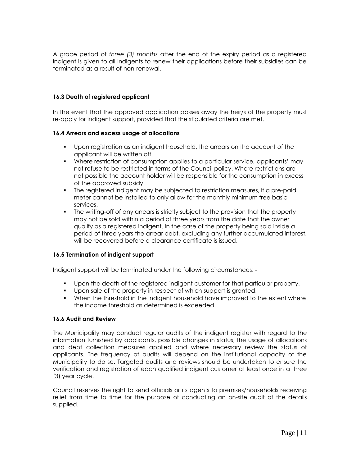A grace period of *three (3) months* after the end of the expiry period as a registered indigent is given to all indigents to renew their applications before their subsidies can be terminated as a result of non-renewal.

#### **16.3 Death of registered applicant**

In the event that the approved application passes away the heir/s of the property must re-apply for indigent support, provided that the stipulated criteria are met.

#### **16.4 Arrears and excess usage of allocations**

- Upon registration as an indigent household, the arrears on the account of the applicant will be written off.
- Where restriction of consumption applies to a particular service, applicants' may not refuse to be restricted in terms of the Council policy. Where restrictions are not possible the account holder will be responsible for the consumption in excess of the approved subsidy.
- The registered indigent may be subjected to restriction measures, if a pre-paid meter cannot be installed to only allow for the monthly minimum free basic services.
- The writing-off of any arrears is strictly subject to the provision that the property may not be sold within a period of three years from the date that the owner qualify as a registered indigent. In the case of the property being sold inside a period of three years the arrear debt, excluding any further accumulated interest, will be recovered before a clearance certificate is issued.

#### **16.5 Termination of indigent support**

Indigent support will be terminated under the following circumstances: -

- Upon the death of the registered indigent customer for that particular property.
- Upon sale of the property in respect of which support is granted.
- When the threshold in the indigent household have improved to the extent where the income threshold as determined is exceeded.

#### **16.6 Audit and Review**

The Municipality may conduct regular audits of the indigent register with regard to the information furnished by applicants, possible changes in status, the usage of allocations and debt collection measures applied and where necessary review the status of applicants. The frequency of audits will depend on the institutional capacity of the Municipality to do so. Targeted audits and reviews should be undertaken to ensure the verification and registration of each qualified indigent customer at least once in a three (3) year cycle.

Council reserves the right to send officials or its agents to premises/households receiving relief from time to time for the purpose of conducting an on-site audit of the details supplied.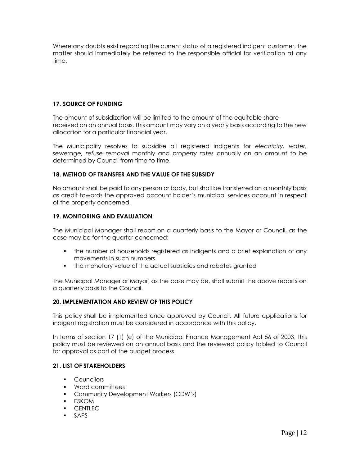Where any doubts exist regarding the current status of a registered indigent customer, the matter should immediately be referred to the responsible official for verification at any time.

# **17. SOURCE OF FUNDING**

The amount of subsidization will be limited to the amount of the equitable share received on an annual basis. This amount may vary on a yearly basis according to the new allocation for a particular financial year.

The Municipality resolves to subsidise all registered indigents for *electricity, water, sewerage, refuse removal* monthly and *property rates* annually on an amount to be determined by Council from time to time.

#### **18. METHOD OF TRANSFER AND THE VALUE OF THE SUBSIDY**

No amount shall be paid to any person or body, but shall be transferred on a monthly basis as credit towards the approved account holder's municipal services account in respect of the property concerned.

#### **19. MONITORING AND EVALUATION**

The Municipal Manager shall report on a quarterly basis to the Mayor or Council, as the case may be for the quarter concerned:

- the number of households registered as indigents and a brief explanation of any movements in such numbers
- the monetary value of the actual subsidies and rebates granted

The Municipal Manager or Mayor, as the case may be, shall submit the above reports on a quarterly basis to the Council.

#### **20. IMPLEMENTATION AND REVIEW OF THIS POLICY**

This policy shall be implemented once approved by Council. All future applications for indigent registration must be considered in accordance with this policy.

In terms of section 17 (1) (e) of the Municipal Finance Management Act 56 of 2003, this policy must be reviewed on an annual basis and the reviewed policy tabled to Council for approval as part of the budget process.

#### **21. LIST OF STAKEHOLDERS**

- Councilors
- **Ward committees**
- **Community Development Workers (CDW's)**
- ESKOM
- **•** CENTLEC
- SAPS